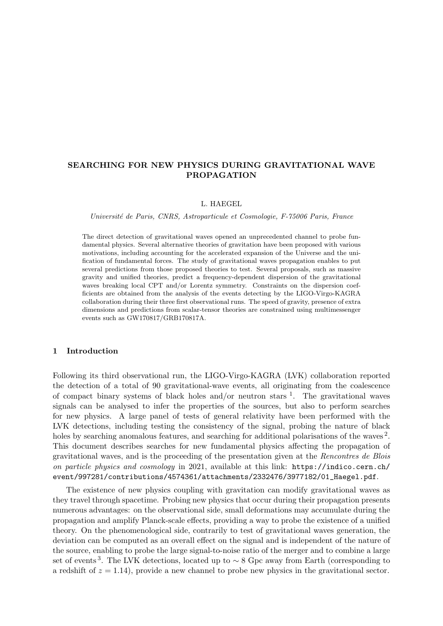# SEARCHING FOR NEW PHYSICS DURING GRAVITATIONAL WAVE PROPAGATION

#### L. HAEGEL

Universit´e de Paris, CNRS, Astroparticule et Cosmologie, F-75006 Paris, France

The direct detection of gravitational waves opened an unprecedented channel to probe fundamental physics. Several alternative theories of gravitation have been proposed with various motivations, including accounting for the accelerated expansion of the Universe and the unification of fundamental forces. The study of gravitational waves propagation enables to put several predictions from those proposed theories to test. Several proposals, such as massive gravity and unified theories, predict a frequency-dependent dispersion of the gravitational waves breaking local CPT and/or Lorentz symmetry. Constraints on the dispersion coefficients are obtained from the analysis of the events detecting by the LIGO-Virgo-KAGRA collaboration during their three first observational runs. The speed of gravity, presence of extra dimensions and predictions from scalar-tensor theories are constrained using multimessenger events such as GW170817/GRB170817A.

# 1 Introduction

Following its third observational run, the LIGO-Virgo-KAGRA (LVK) collaboration reported the detection of a total of 90 gravitational-wave events, all originating from the coalescence of compact binary systems of black holes and/or neutron stars  $\frac{1}{1}$  $\frac{1}{1}$  $\frac{1}{1}$ . The gravitational waves signals can be analysed to infer the properties of the sources, but also to perform searches for new physics. A large panel of tests of general relativity have been performed with the LVK detections, including testing the consistency of the signal, probing the nature of black holes by searching anomalous features, and searching for additional polarisations of the waves<sup>[2](#page-3-1)</sup>. This document describes searches for new fundamental physics affecting the propagation of gravitational waves, and is the proceeding of the presentation given at the Rencontres de Blois on particle physics and cosmology in 2021, available at this link: [https://indico.cern.ch/](https://indico.cern.ch/event/997281/contributions/4574361/attachments/2332476/3977182/01_Haegel.pdf) [event/997281/contributions/4574361/attachments/2332476/3977182/01\\_Haegel.pdf](https://indico.cern.ch/event/997281/contributions/4574361/attachments/2332476/3977182/01_Haegel.pdf).

The existence of new physics coupling with gravitation can modify gravitational waves as they travel through spacetime. Probing new physics that occur during their propagation presents numerous advantages: on the observational side, small deformations may accumulate during the propagation and amplify Planck-scale effects, providing a way to probe the existence of a unified theory. On the phenomenological side, contrarily to test of gravitational waves generation, the deviation can be computed as an overall effect on the signal and is independent of the nature of the source, enabling to probe the large signal-to-noise ratio of the merger and to combine a large set of events<sup>[3](#page-3-2)</sup>. The LVK detections, located up to  $\sim$  8 Gpc away from Earth (corresponding to a redshift of  $z = 1.14$ ), provide a new channel to probe new physics in the gravitational sector.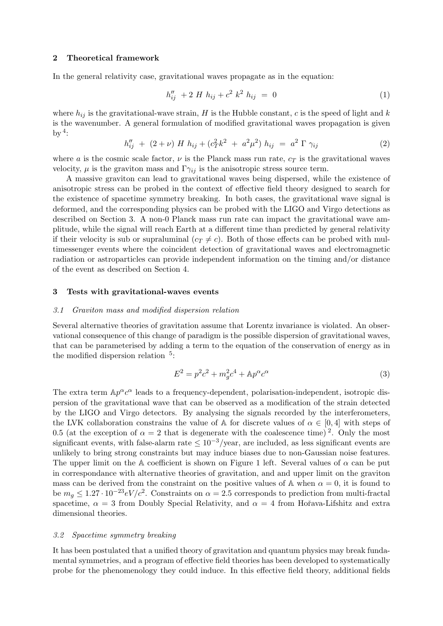#### 2 Theoretical framework

In the general relativity case, gravitational waves propagate as in the equation:

$$
h_{ij}'' + 2 H h_{ij} + c^2 k^2 h_{ij} = 0 \tag{1}
$$

where  $h_{ij}$  is the gravitational-wave strain, H is the Hubble constant, c is the speed of light and k is the wavenumber. A general formulation of modified gravitational waves propagation is given by  $4$ :

$$
h_{ij}'' + (2 + \nu) H h_{ij} + (c_T^2 k^2 + a^2 \mu^2) h_{ij} = a^2 \Gamma \gamma_{ij}
$$
 (2)

where a is the cosmic scale factor,  $\nu$  is the Planck mass run rate,  $c_T$  is the gravitational waves velocity,  $\mu$  is the graviton mass and  $\Gamma \gamma_{ij}$  is the anisotropic stress source term.

A massive graviton can lead to gravitational waves being dispersed, while the existence of anisotropic stress can be probed in the context of effective field theory designed to search for the existence of spacetime symmetry breaking. In both cases, the gravitational wave signal is deformed, and the corresponding physics can be probed with the LIGO and Virgo detections as described on Section [3.](#page-1-0) A non-0 Planck mass run rate can impact the gravitational wave amplitude, while the signal will reach Earth at a different time than predicted by general relativity if their velocity is sub or supraluminal  $(c_T \neq c)$ . Both of those effects can be probed with multimessenger events where the coincident detection of gravitational waves and electromagnetic radiation or astroparticles can provide independent information on the timing and/or distance of the event as described on Section [4.](#page-2-0)

#### <span id="page-1-0"></span>3 Tests with gravitational-waves events

#### <span id="page-1-1"></span>3.1 Graviton mass and modified dispersion relation

Several alternative theories of gravitation assume that Lorentz invariance is violated. An observational consequence of this change of paradigm is the possible dispersion of gravitational waves, that can be parameterised by adding a term to the equation of the conservation of energy as in the modified dispersion relation  $5$ :

$$
E^2 = p^2c^2 + m_g^2c^4 + \mathbb{A}p^\alpha c^\alpha \tag{3}
$$

The extra term  $\mathbb{A}p^{\alpha}c^{\alpha}$  leads to a frequency-dependent, polarisation-independent, isotropic dispersion of the gravitational wave that can be observed as a modification of the strain detected by the LIGO and Virgo detectors. By analysing the signals recorded by the interferometers, the LVK collaboration constrains the value of A for discrete values of  $\alpha \in [0, 4]$  with steps of 0.5 (at the exception of  $\alpha = 2$  $\alpha = 2$  that is degenerate with the coalescence time)<sup>2</sup>. Only the most significant events, with false-alarm rate  $\leq 10^{-3}/y$  ear, are included, as less significant events are unlikely to bring strong constraints but may induce biases due to non-Gaussian noise features. The upper limit on the A coefficient is shown on Figure [1](#page-2-1) left. Several values of  $\alpha$  can be put in correspondance with alternative theories of gravitation, and and upper limit on the graviton mass can be derived from the constraint on the positive values of A when  $\alpha = 0$ , it is found to be  $m_g \leq 1.27 \cdot 10^{-23} eV/c^2$ . Constraints on  $\alpha = 2.5$  corresponds to prediction from multi-fractal spacetime,  $\alpha = 3$  from Doubly Special Relativity, and  $\alpha = 4$  from Hořava-Lifshitz and extra dimensional theories.

### <span id="page-1-2"></span>3.2 Spacetime symmetry breaking

It has been postulated that a unified theory of gravitation and quantum physics may break fundamental symmetries, and a program of effective field theories has been developed to systematically probe for the phenomenology they could induce. In this effective field theory, additional fields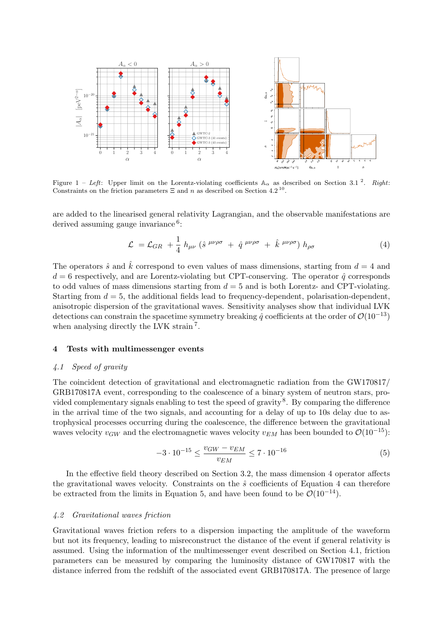

Figure 1 – Left: Upper limit on the Lorentz-violating coefficients  $A_{\alpha}$  as described on Section [3.1](#page-1-1)<sup>[2](#page-3-1)</sup>. Right: Constraints on the friction parameters  $\Xi$  and n as described on Section [4.2](#page-2-2)<sup>[10](#page-3-5)</sup>.

are added to the linearised general relativity Lagrangian, and the observable manifestations are derived assuming gauge invariance<sup>[6](#page-3-6)</sup>:

<span id="page-2-1"></span>
$$
\mathcal{L} = \mathcal{L}_{GR} + \frac{1}{4} h_{\mu\nu} \left( \hat{s}^{\mu\nu\rho\sigma} + \hat{q}^{\mu\nu\rho\sigma} + \hat{k}^{\mu\nu\rho\sigma} \right) h_{\rho\sigma} \tag{4}
$$

The operators  $\hat{s}$  and  $\hat{k}$  correspond to even values of mass dimensions, starting from  $d = 4$  and  $d = 6$  respectively, and are Lorentz-violating but CPT-conserving. The operator  $\hat{q}$  corresponds to odd values of mass dimensions starting from  $d = 5$  and is both Lorentz- and CPT-violating. Starting from  $d = 5$ , the additional fields lead to frequency-dependent, polarisation-dependent, anisotropic dispersion of the gravitational waves. Sensitivity analyses show that individual LVK detections can constrain the spacetime symmetry breaking  $\hat{q}$  coefficients at the order of  $\mathcal{O}(10^{-13})$ when analysing directly the LVK strain<sup>[7](#page-3-7)</sup>.

## <span id="page-2-0"></span>4 Tests with multimessenger events

### <span id="page-2-4"></span>4.1 Speed of gravity

The coincident detection of gravitational and electromagnetic radiation from the GW170817/ GRB170817A event, corresponding to the coalescence of a binary system of neutron stars, pro-vided complementary signals enabling to test the speed of gravity<sup>[8](#page-3-8)</sup>. By comparing the difference in the arrival time of the two signals, and accounting for a delay of up to 10s delay due to astrophysical processes occurring during the coalescence, the difference between the gravitational waves velocity  $v_{GW}$  and the electromagnetic waves velocity  $v_{EM}$  has been bounded to  $\mathcal{O}(10^{-15})$ :

<span id="page-2-3"></span>
$$
-3 \cdot 10^{-15} \le \frac{v_{GW} - v_{EM}}{v_{EM}} \le 7 \cdot 10^{-16} \tag{5}
$$

In the effective field theory described on Section [3.2,](#page-1-2) the mass dimension 4 operator affects the gravitational waves velocity. Constraints on the  $\hat{s}$  coefficients of Equation [4](#page-2-1) can therefore be extracted from the limits in Equation [5,](#page-2-3) and have been found to be  $\mathcal{O}(10^{-14})$ .

#### <span id="page-2-2"></span>4.2 Gravitational waves friction

Gravitational waves friction refers to a dispersion impacting the amplitude of the waveform but not its frequency, leading to misreconstruct the distance of the event if general relativity is assumed. Using the information of the multimessenger event described on Section [4.1,](#page-2-4) friction parameters can be measured by comparing the luminosity distance of GW170817 with the distance inferred from the redshift of the associated event GRB170817A. The presence of large